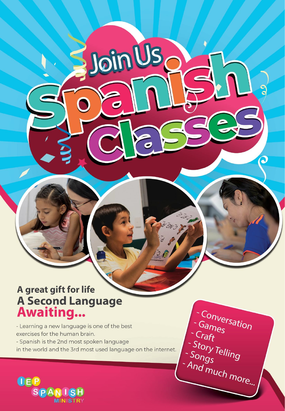# A great gift for life A Second Language<br>Awaiting...

- Learning a new language is one of the best exercises for the human brain. - Spanish is the 2nd most spoken language

in the world and the 3rd most used language on the internet.

JoinUs

Conversation Games Craft - Story Telling - Songs And much more... 2